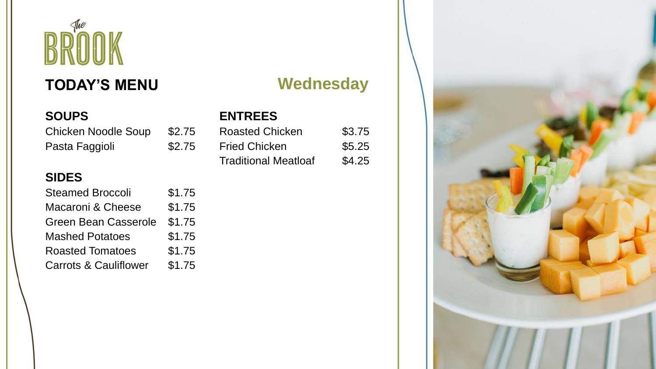# The BROOI

# **TODAY'S MENU**

### **SOUPS**

Chicken Noodle Soup \$2.75 Pasta Faggioli  $$2.75$ 

#### **SIDES**

| <b>Steamed Broccoli</b>          | \$1.75 |
|----------------------------------|--------|
| Macaroni & Cheese                | \$1.75 |
| <b>Green Bean Casserole</b>      | \$1.75 |
| <b>Mashed Potatoes</b>           | \$1.75 |
| <b>Roasted Tomatoes</b>          | \$1.75 |
| <b>Carrots &amp; Cauliflower</b> | \$1.75 |

# **Wednesday**

### **ENTREES**

| <b>Roasted Chicken</b>      | \$3.75 |
|-----------------------------|--------|
| <b>Fried Chicken</b>        | \$5.25 |
| <b>Traditional Meatloaf</b> | \$4.25 |